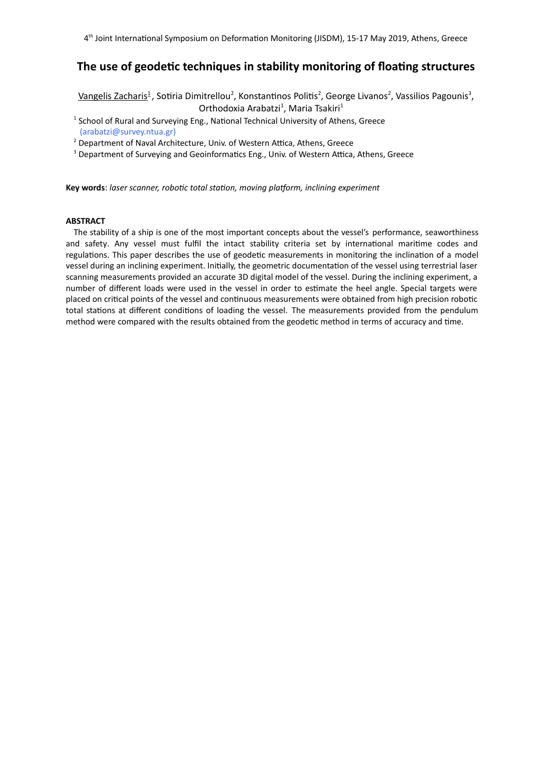# **The use of geodetic techniques in stability monitoring of floating structures**

Vangelis Zacharis<sup>1</sup>, Sotiria Dimitrellou<sup>2</sup>, Konstantinos Politis<sup>2</sup>, George Livanos<sup>2</sup>, Vassilios Pagounis<sup>3</sup>, Orthodoxia Arabatzi<sup>1</sup>, Maria Tsakiri<sup>1</sup>

- <sup>1</sup> School of Rural and Surveying Eng., National Technical University of Athens, Greece (arabatzi@survey.ntua.gr)
- <sup>2</sup> Department of Naval Architecture, Univ. of Western Attica, Athens, Greece

<sup>3</sup> Department of Surveying and Geoinformatics Eng., Univ. of Western Attica, Athens, Greece

**Key words**: *laser scanner, robotic total station, moving platform, inclining experiment*

# **ABSTRACT**

The stability of a ship is one of the most important concepts about the vessel's performance, seaworthiness and safety. Any vessel must fulfil the intact stability criteria set by international maritime codes and regulations. This paper describes the use of geodetic measurements in monitoring the inclination of a model vessel during an inclining experiment. Initially, the geometric documentation of the vessel using terrestrial laser scanning measurements provided an accurate 3D digital model of the vessel. During the inclining experiment, a number of different loads were used in the vessel in order to estimate the heel angle. Special targets were placed on critical points of the vessel and continuous measurements were obtained from high precision robotic total stations at different conditions of loading the vessel. The measurements provided from the pendulum method were compared with the results obtained from the geodetic method in terms of accuracy and time.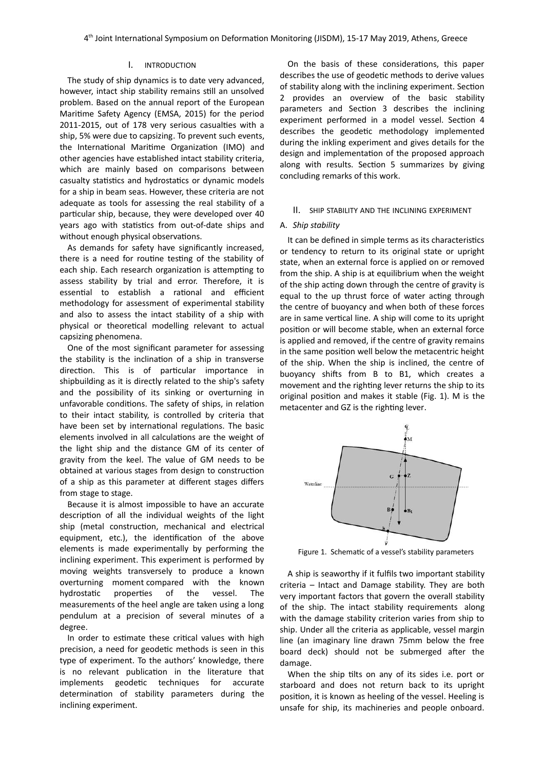## I. INTRODUCTION

The study of ship dynamics is to date very advanced, however, intact ship stability remains still an unsolved problem. Based on the annual report of the European Maritime Safety Agency (EMSA, 2015) for the period 2011-2015, out of 178 very serious casualties with a ship, 5% were due to capsizing. To prevent such events, the International Maritime Organization (IMO) and other agencies have established intact stability criteria, which are mainly based on comparisons between casualty statistics and hydrostatics or dynamic models for a ship in beam seas. However, these criteria are not adequate as tools for assessing the real stability of a particular ship, because, they were developed over 40 years ago with statistics from out-of-date ships and without enough physical observations.

As demands for safety have significantly increased, there is a need for routine testing of the stability of each ship. Each research organization is attempting to assess stability by trial and error. Therefore, it is essential to establish a rational and efficient methodology for assessment of experimental stability and also to assess the intact stability of a ship with physical or theoretical modelling relevant to actual capsizing phenomena.

One of the most significant parameter for assessing the stability is the inclination of a ship in transverse direction. This is of particular importance in shipbuilding as it is directly related to the ship's safety and the possibility of its sinking or overturning in unfavorable conditions. The safety of ships, in relation to their intact stability, is controlled by criteria that have been set by international regulations. The basic elements involved in all calculations are the weight of the light ship and the distance GM of its center of gravity from the keel. The value of GM needs to be obtained at various stages from design to construction of a ship as this parameter at different stages differs from stage to stage.

Because it is almost impossible to have an accurate description of all the individual weights of the light ship (metal construction, mechanical and electrical equipment, etc.), the identification of the above elements is made experimentally by performing the inclining experiment. This experiment is performed by moving weights transversely to produce a known overturning moment compared with the known hydrostatic properties of the vessel. The measurements of the heel angle are taken using a long pendulum at a precision of several minutes of a degree.

In order to estimate these critical values with high precision, a need for geodetic methods is seen in this type of experiment. To the authors' knowledge, there is no relevant publication in the literature that implements geodetic techniques for accurate determination of stability parameters during the inclining experiment.

On the basis of these considerations, this paper describes the use of geodetic methods to derive values of stability along with the inclining experiment. Section 2 provides an overview of the basic stability parameters and Section 3 describes the inclining experiment performed in a model vessel. Section 4 describes the geodetic methodology implemented during the inkling experiment and gives details for the design and implementation of the proposed approach along with results. Section 5 summarizes by giving concluding remarks of this work.

#### II. SHIP STABILITY AND THE INCLINING EXPERIMENT

# A. *Ship stability*

It can be defined in simple terms as its characteristics or tendency to return to its original state or upright state, when an external force is applied on or removed from the ship. A ship is at equilibrium when the weight of the ship acting down through the centre of gravity is equal to the up thrust force of water acting through the centre of buoyancy and when both of these forces are in same vertical line. A ship will come to its upright position or will become stable, when an external force is applied and removed, if the centre of gravity remains in the same position well below the metacentric height of the ship. When the ship is inclined, the centre of buoyancy shifts from B to B1, which creates a movement and the righting lever returns the ship to its original position and makes it stable (Fig. 1). M is the metacenter and GZ is the righting lever.



Figure 1. Schematic of a vessel's stability parameters

A ship is seaworthy if it fulfils two important stability criteria – Intact and Damage stability. They are both very important factors that govern the overall stability of the ship. The intact stability requirements along with the damage stability criterion varies from ship to ship. Under all the criteria as applicable, vessel margin line (an imaginary line drawn 75mm below the free board deck) should not be submerged after the damage.

When the ship tilts on any of its sides i.e. port or starboard and does not return back to its upright position, it is known as heeling of the vessel. Heeling is unsafe for ship, its machineries and people onboard.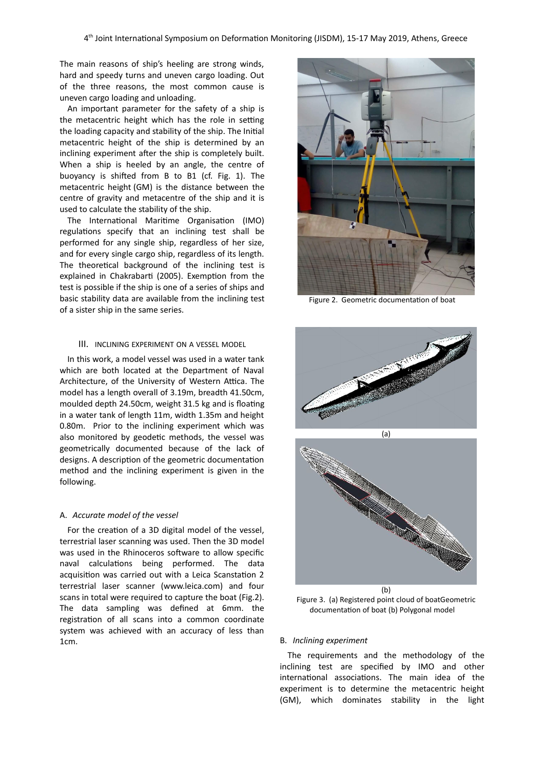The main reasons of ship's heeling are strong winds, hard and speedy turns and uneven cargo loading. Out of the three reasons, the most common cause is uneven cargo loading and unloading.

An important parameter for the safety of a ship is the metacentric height which has the role in setting the loading capacity and stability of the ship. The Initial metacentric height of the ship is determined by an inclining experiment after the ship is completely built. When a ship is heeled by an angle, the centre of buoyancy is shifted from B to B1 (cf. Fig. 1). The metacentric height (GM) is the distance between the centre of gravity and metacentre of the ship and it is used to calculate the stability of the ship.

The International Maritime Organisation (IMO) regulations specify that an inclining test shall be performed for any single ship, regardless of her size, and for every single cargo ship, regardless of its length. The theoretical background of the inclining test is explained in Chakrabarti (2005). Exemption from the test is possible if the ship is one of a series of ships and basic stability data are available from the inclining test of a sister ship in the same series.

# III. INCLINING EXPERIMENT ON A VESSEL MODEL

In this work, a model vessel was used in a water tank which are both located at the Department of Naval Architecture, of the University of Western Attica. The model has a length overall of 3.19m, breadth 41.50cm, moulded depth 24.50cm, weight 31.5 kg and is floating in a water tank of length 11m, width 1.35m and height 0.80m. Prior to the inclining experiment which was also monitored by geodetic methods, the vessel was geometrically documented because of the lack of designs. A description of the geometric documentation method and the inclining experiment is given in the following.

## A. *Accurate model of the vessel*

For the creation of a 3D digital model of the vessel, terrestrial laser scanning was used. Then the 3D model was used in the Rhinoceros software to allow specific naval calculations being performed. The data acquisition was carried out with a Leica Scanstation 2 terrestrial laser scanner (www.leica.com) and four scans in total were required to capture the boat (Fig.2). The data sampling was defined at 6mm. the registration of all scans into a common coordinate system was achieved with an accuracy of less than 1cm.



Figure 2. Geometric documentation of boat





Figure 3. (a) Registered point cloud of boatGeometric documentation of boat (b) Polygonal model

#### B. *Inclining experiment*

The requirements and the methodology of the inclining test are specified by IMO and other international associations. The main idea of the experiment is to determine the metacentric height (GM), which dominates stability in the light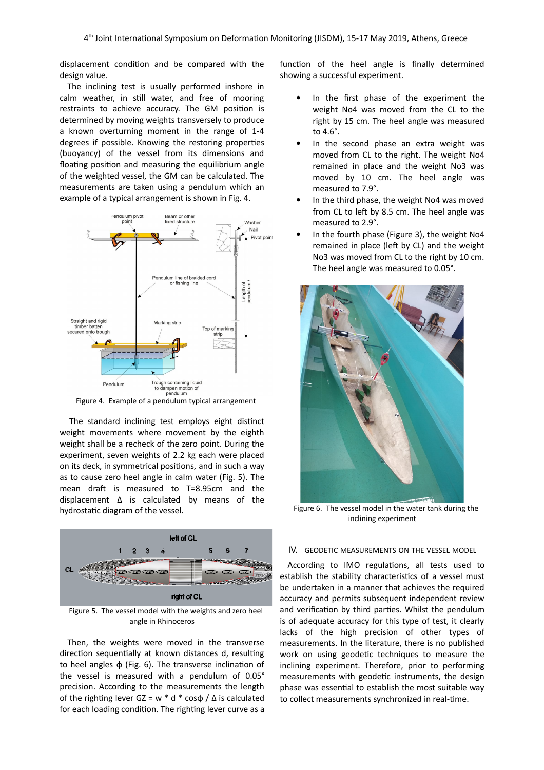displacement condition and be compared with the design value.

The inclining test is usually performed inshore in calm weather, in still water, and free of mooring restraints to achieve accuracy. The GM position is determined by moving weights transversely to produce a known overturning moment in the range of 1-4 degrees if possible. Knowing the restoring properties (buoyancy) of the vessel from its dimensions and floating position and measuring the equilibrium angle of the weighted vessel, the GM can be calculated. The measurements are taken using a pendulum which an example of a typical arrangement is shown in Fig. 4.



Figure 4. Example of a pendulum typical arrangement

The standard inclining test employs eight distinct weight movements where movement by the eighth weight shall be a recheck of the zero point. During the experiment, seven weights of 2.2 kg each were placed on its deck, in symmetrical positions, and in such a way as to cause zero heel angle in calm water (Fig. 5). The mean draft is measured to T=8.95cm and the displacement Δ is calculated by means of the hydrostatic diagram of the vessel.



Figure 5. The vessel model with the weights and zero heel angle in Rhinoceros

Then, the weights were moved in the transverse direction sequentially at known distances d, resulting to heel angles φ (Fig. 6). The transverse inclination of the vessel is measured with a pendulum of 0.05° precision. According to the measurements the length of the righting lever  $GZ = w * d * cos \phi / \Delta$  is calculated for each loading condition. The righting lever curve as a

function of the heel angle is finally determined showing a successful experiment.

- In the first phase of the experiment the weight Νο4 was moved from the CL to the right by 15 cm. The heel angle was measured to 4.6°.
- In the second phase an extra weight was moved from CL to the right. The weight Νο4 remained in place and the weight No3 was moved by 10 cm. The heel angle was measured to 7.9°.
- In the third phase, the weight Νο4 was moved from CL to left by 8.5 cm. The heel angle was measured to 2.9°.
- In the fourth phase (Figure 3), the weight No4 remained in place (left by CL) and the weight No3 was moved from CL to the right by 10 cm. The heel angle was measured to 0.05°.



Figure 6. The vessel model in the water tank during the inclining experiment

# IV. GEODETIC MEASUREMENTS ON THE VESSEL MODEL

According to IMO regulations, all tests used to establish the stability characteristics of a vessel must be undertaken in a manner that achieves the required accuracy and permits subsequent independent review and verification by third parties. Whilst the pendulum is of adequate accuracy for this type of test, it clearly lacks of the high precision of other types of measurements. In the literature, there is no published work on using geodetic techniques to measure the inclining experiment. Therefore, prior to performing measurements with geodetic instruments, the design phase was essential to establish the most suitable way to collect measurements synchronized in real-time.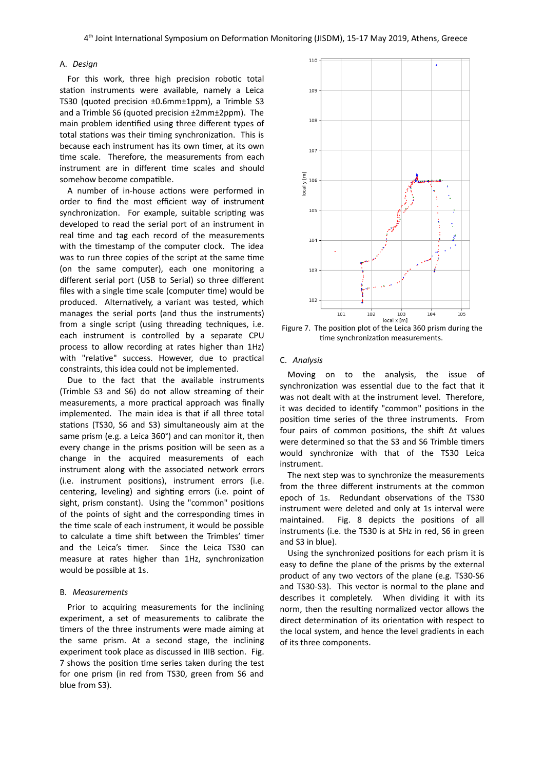# A. *Design*

For this work, three high precision robotic total station instruments were available, namely a Leica TS30 (quoted precision ±0.6mm±1ppm), a Trimble S3 and a Trimble S6 (quoted precision ±2mm±2ppm). The main problem identified using three different types of total stations was their timing synchronization. This is because each instrument has its own timer, at its own time scale. Therefore, the measurements from each instrument are in different time scales and should somehow become compatible.

A number of in-house actions were performed in order to find the most efficient way of instrument synchronization. For example, suitable scripting was developed to read the serial port of an instrument in real time and tag each record of the measurements with the timestamp of the computer clock. The idea was to run three copies of the script at the same time (on the same computer), each one monitoring a different serial port (USB to Serial) so three different files with a single time scale (computer time) would be produced. Alternatively, a variant was tested, which manages the serial ports (and thus the instruments) from a single script (using threading techniques, i.e. each instrument is controlled by a separate CPU process to allow recording at rates higher than 1Hz) with "relative" success. However, due to practical constraints, this idea could not be implemented.

Due to the fact that the available instruments (Trimble S3 and S6) do not allow streaming of their measurements, a more practical approach was finally implemented. The main idea is that if all three total stations (TS30, S6 and S3) simultaneously aim at the same prism (e.g. a Leica 360°) and can monitor it, then every change in the prisms position will be seen as a change in the acquired measurements of each instrument along with the associated network errors (i.e. instrument positions), instrument errors (i.e. centering, leveling) and sighting errors (i.e. point of sight, prism constant). Using the "common" positions of the points of sight and the corresponding times in the time scale of each instrument, it would be possible to calculate a time shift between the Trimbles' timer and the Leica's timer. Since the Leica TS30 can measure at rates higher than 1Hz, synchronization would be possible at 1s.

#### B. *Measurements*

Prior to acquiring measurements for the inclining experiment, a set of measurements to calibrate the timers of the three instruments were made aiming at the same prism. At a second stage, the inclining experiment took place as discussed in IIIB section. Fig. 7 shows the position time series taken during the test for one prism (in red from TS30, green from S6 and blue from S3).



Figure 7. The position plot of the Leica 360 prism during the time synchronization measurements.

### C. *Analysis*

Moving on to the analysis, the issue of synchronization was essential due to the fact that it was not dealt with at the instrument level. Therefore, it was decided to identify "common" positions in the position time series of the three instruments. From four pairs of common positions, the shift Δt values were determined so that the S3 and S6 Trimble timers would synchronize with that of the TS30 Leica instrument.

The next step was to synchronize the measurements from the three different instruments at the common epoch of 1s. Redundant observations of the TS30 instrument were deleted and only at 1s interval were maintained. Fig. 8 depicts the positions of all instruments (i.e. the TS30 is at 5Hz in red, S6 in green and S3 in blue).

Using the synchronized positions for each prism it is easy to define the plane of the prisms by the external product of any two vectors of the plane (e.g. TS30-S6 and TS30-S3). This vector is normal to the plane and describes it completely. When dividing it with its norm, then the resulting normalized vector allows the direct determination of its orientation with respect to the local system, and hence the level gradients in each of its three components.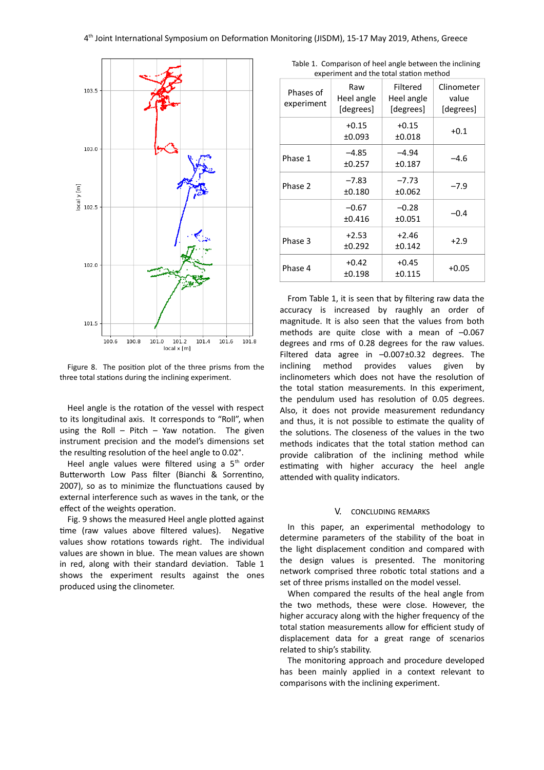

Figure 8. The position plot of the three prisms from the three total stations during the inclining experiment.

Heel angle is the rotation of the vessel with respect to its longitudinal axis. It corresponds to "Roll", when using the Roll  $-$  Pitch  $-$  Yaw notation. The given instrument precision and the model's dimensions set the resulting resolution of the heel angle to 0.02°.

Heel angle values were filtered using a  $5<sup>th</sup>$  order Butterworth Low Pass filter (Bianchi & Sorrentino, 2007), so as to minimize the flunctuations caused by external interference such as waves in the tank, or the effect of the weights operation.

Fig. 9 shows the measured Heel angle plotted against time (raw values above filtered values). Negative values show rotations towards right. The individual values are shown in blue. The mean values are shown in red, along with their standard deviation. Table 1 shows the experiment results against the ones produced using the clinometer.

Table 1. Comparison of heel angle between the inclining experiment and the total station method

| Phases of<br>experiment | Raw<br>Heel angle<br>[degrees] | Filtered<br>Heel angle<br>[degrees] | Clinometer<br>value<br>[degrees] |
|-------------------------|--------------------------------|-------------------------------------|----------------------------------|
|                         | $+0.15$<br>±0.093              | $+0.15$<br>$\pm 0.018$              | $+0.1$                           |
| Phase 1                 | $-4.85$<br>±0.257              | $-4.94$<br>±0.187                   | -4.6                             |
| Phase 2                 | $-7.83$<br>±0.180              | $-7.73$<br>±0.062                   | $-7.9$                           |
|                         | $-0.67$<br>±0.416              | $-0.28$<br>±0.051                   | $-0.4$                           |
| Phase 3                 | $+2.53$<br>±0.292              | $+2.46$<br>±0.142                   | $+2.9$                           |
| Phase 4                 | $+0.42$<br>±0.198              | $+0.45$<br>±0.115                   | $+0.05$                          |

From Table 1, it is seen that by filtering raw data the accuracy is increased by raughly an order of magnitude. It is also seen that the values from both methods are quite close with a mean of –0.067 degrees and rms of 0.28 degrees for the raw values. Filtered data agree in –0.007±0.32 degrees. The inclining method provides values given by inclinometers which does not have the resolution of the total station measurements. In this experiment, the pendulum used has resolution of 0.05 degrees. Also, it does not provide measurement redundancy and thus, it is not possible to estimate the quality of the solutions. The closeness of the values in the two methods indicates that the total station method can provide calibration of the inclining method while estimating with higher accuracy the heel angle attended with quality indicators.

## V. CONCLUDING REMARKS

In this paper, an experimental methodology to determine parameters of the stability of the boat in the light displacement condition and compared with the design values is presented. The monitoring network comprised three robotic total stations and a set of three prisms installed on the model vessel.

When compared the results of the heal angle from the two methods, these were close. However, the higher accuracy along with the higher frequency of the total station measurements allow for efficient study of displacement data for a great range of scenarios related to ship's stability.

The monitoring approach and procedure developed has been mainly applied in a context relevant to comparisons with the inclining experiment.